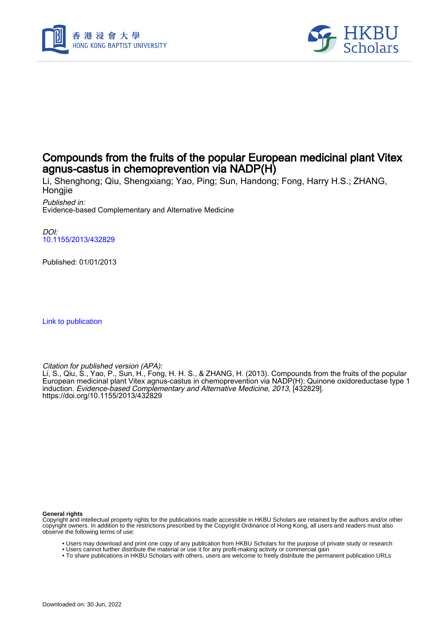



# Compounds from the fruits of the popular European medicinal plant Vitex agnus-castus in chemoprevention via NADP(H)

Li, Shenghong; Qiu, Shengxiang; Yao, Ping; Sun, Handong; Fong, Harry H.S.; ZHANG, Hongjie

Published in: Evidence-based Complementary and Alternative Medicine

DOI: [10.1155/2013/432829](https://doi.org/10.1155/2013/432829)

Published: 01/01/2013

[Link to publication](https://scholars.hkbu.edu.hk/en/publications/8582e1bd-a2cf-4ea6-a4f1-6a696a818e03)

Citation for published version (APA):

Li, S., Qiu, S., Yao, P., Sun, H., Fong, H. H. S., & ZHANG, H. (2013). Compounds from the fruits of the popular European medicinal plant Vitex agnus-castus in chemoprevention via NADP(H): Quinone oxidoreductase type 1 induction. Evidence-based Complementary and Alternative Medicine, 2013, [432829]. <https://doi.org/10.1155/2013/432829>

**General rights**

Copyright and intellectual property rights for the publications made accessible in HKBU Scholars are retained by the authors and/or other copyright owners. In addition to the restrictions prescribed by the Copyright Ordinance of Hong Kong, all users and readers must also observe the following terms of use:

- Users may download and print one copy of any publication from HKBU Scholars for the purpose of private study or research
- Users cannot further distribute the material or use it for any profit-making activity or commercial gain
- To share publications in HKBU Scholars with others, users are welcome to freely distribute the permanent publication URLs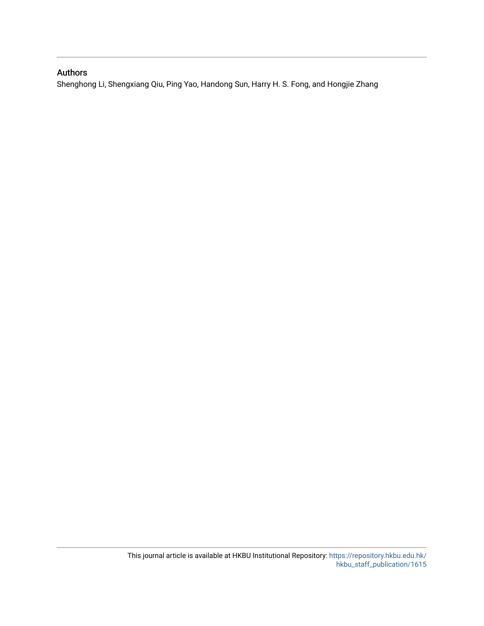# Authors

Shenghong Li, Shengxiang Qiu, Ping Yao, Handong Sun, Harry H. S. Fong, and Hongjie Zhang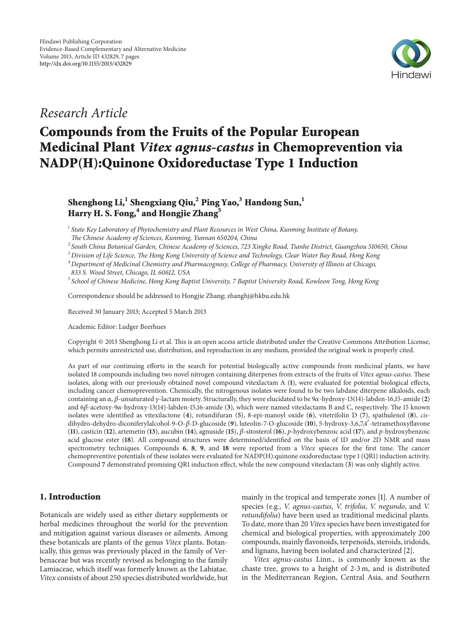

# *Research Article*

# **Compounds from the Fruits of the Popular European Medicinal Plant** *Vitex agnus-castus* **in Chemoprevention via NADP(H):Quinone Oxidoreductase Type 1 Induction**

# **Shenghong Li,1 Shengxiang Qiu,2 Ping Yao,<sup>3</sup> Handong Sun,1 Harry H. S. Fong,<sup>4</sup> and Hongjie Zhang5**

*<sup>1</sup> State Key Laboratory of Phytochemistry and Plant Resources in West China, Kunming Institute of Botany, The Chinese Academy of Sciences, Kunming, Yunnan 650204, China*

*<sup>2</sup> South China Botanical Garden, Chinese Academy of Sciences, 723 Xingke Road, Tianhe District, Guangzhou 510650, China*

*<sup>3</sup> Division of Life Science, The Hong Kong University of Science and Technology, Clear Water Bay Road, Hong Kong*

*<sup>4</sup> Department of Medicinal Chemistry and Pharmacognosy, College of Pharmacy, University of Illinois at Chicago, 833 S. Wood Street, Chicago, IL 60612, USA*

*<sup>5</sup> School of Chinese Medicine, Hong Kong Baptist University, 7 Baptist University Road, Kowloon Tong, Hong Kong*

Correspondence should be addressed to Hongjie Zhang; zhanghj@hkbu.edu.hk

Received 30 January 2013; Accepted 5 March 2013

Academic Editor: Ludger Beerhues

Copyright © 2013 Shenghong Li et al. This is an open access article distributed under the Creative Commons Attribution License, which permits unrestricted use, distribution, and reproduction in any medium, provided the original work is properly cited.

As part of our continuing efforts in the search for potential biologically active compounds from medicinal plants, we have isolated 18 compounds including two novel nitrogen containing diterpenes from extracts of the fruits of *Vitex agnus-castus*. These isolates, along with our previously obtained novel compound vitexlactam A (**1**), were evaluated for potential biological effects, including cancer chemoprevention. Chemically, the nitrogenous isolates were found to be two labdane diterpene alkaloids, each containing an  $\alpha$ ,  $\beta$ -unsaturated  $\gamma$ -lactam moiety. Structurally, they were elucidated to be  $9\alpha$ -hydroxy-13(14)-labden-16,15-amide (2) and  $6\beta$ -acetoxy-9 $\alpha$ -hydroxy-13(14)-labden-15,16-amide (3), which were named vitexlactams B and C, respectively. The 15 known isolates were identified as vitexilactone (**4**), rotundifuran (**5**), 8-epi-manoyl oxide (**6**), vitetrifolin D (**7**), spathulenol (**8**), *cis*dihydro-dehydro-diconiferylalcohol-9-O- $\beta$ -D-glucoside (9), luteolin-7-O-glucoside (10), 5-hydroxy-3,6,7,4'-tetramethoxyflavone (**11**), casticin (**12**), artemetin (**13**), aucubin (**14**), agnuside (**15**),  $\beta$ -sitosterol (**16**),  $p$ -hydroxybenzoic acid (**17**), and  $p$ -hydroxybenzoic acid glucose ester (**18**). All compound structures were determined/identified on the basis of 1D and/or 2D NMR and mass spectrometry techniques. Compounds **6**, **8**, **9**, and **18** were reported from a *Vitex* spieces for the first time. The cancer chemopreventive potentials of these isolates were evaluated for NADP(H):quinone oxidoreductase type 1 (QR1) induction activity. Compound **7** demonstrated promising QR1 induction effect, while the new compound vitexlactam (**3**) was only slightly active.

# **1. Introduction**

Botanicals are widely used as either dietary supplements or herbal medicines throughout the world for the prevention and mitigation against various diseases or ailments. Among these botanicals are plants of the genus *Vitex* plants. Botanically, this genus was previously placed in the family of Verbenaceae but was recently revised as belonging to the family Lamiaceae, which itself was formerly known as the Labiatae. *Vitex* consists of about 250 species distributed worldwide, but

mainly in the tropical and temperate zones [1]. A number of species (e.g., *V. agnus-castus*, *V. trifolia*, *V. negundo*, and *V. rotundifolia*) have been used as traditional medicinal plants. To date, more than 20 *Vitex* species have been investigated for chemical and biological properties, with approximately 200 compounds, mainly flavonoids, terpenoids, steroids, iridoids, and lignans, having been isolated and characterized [2].

*Vitex agnus-castus* Linn., is commonly known as the chaste tree, grows to a height of 2-3 m, and is distributed in the Mediterranean Region, Central Asia, and Southern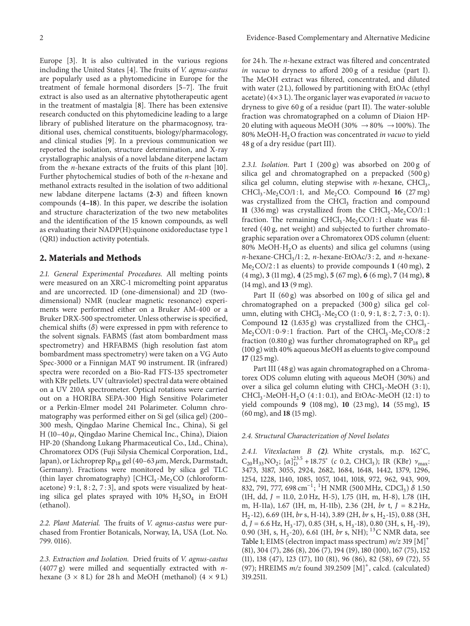Europe [3]. It is also cultivated in the various regions including the United States [4]. The fruits of *V. agnus-castus* are popularly used as a phytomedicine in Europe for the treatment of female hormonal disorders [5–7]. The fruit extract is also used as an alternative phytotherapeutic agent in the treatment of mastalgia [8]. There has been extensive research conducted on this phytomedicine leading to a large library of published literature on the pharmacognosy, traditional uses, chemical constituents, biology/pharmacology, and clinical studies [9]. In a previous communication we reported the isolation, structure determination, and X-ray crystallographic analysis of a novel labdane diterpene lactam from the *n*-hexane extracts of the fruits of this plant [10]. Further phytochemical studies of both of the *n*-hexane and methanol extracts resulted in the isolation of two additional new labdane diterpene lactams (**2-3**) and fifteen known compounds (**4–18**). In this paper, we describe the isolation and structure characterization of the two new metabolites and the identification of the 15 known compounds, as well as evaluating their NADP(H):quinone oxidoreductase type 1 (QR1) induction activity potentials.

### **2. Materials and Methods**

*2.1. General Experimental Procedures.* All melting points were measured on an XRC-1 micromelting point apparatus and are uncorrected. 1D (one-dimensional) and 2D (twodimensional) NMR (nuclear magnetic resonance) experiments were performed either on a Bruker AM-400 or a Bruker DRX-500 spectrometer. Unless otherwise is specified, chemical shifts  $(\delta)$  were expressed in ppm with reference to the solvent signals. FABMS (fast atom bombardment mass spectrometry) and HRFABMS (high resolution fast atom bombardment mass spectrometry) were taken on a VG Auto Spec-3000 or a Finnigan MAT 90 instrument. IR (infrared) spectra were recorded on a Bio-Rad FTS-135 spectrometer with KBr pellets. UV (ultraviolet) spectral data were obtained on a UV 210A spectrometer. Optical rotations were carried out on a HORIBA SEPA-300 High Sensitive Polarimeter or a Perkin-Elmer model 241 Polarimeter. Column chromatography was performed either on Si gel (silica gel) (200– 300 mesh, Qingdao Marine Chemical Inc., China), Si gel H (10–40 $\mu$ , Qingdao Marine Chemical Inc., China), Diaion HP-20 (Shandong Lukang Pharmaceutical Co., Ltd., China), Chromatorex ODS (Fuji Silysia Chemical Corporation, Ltd., Japan), or Lichroprep Rp<sub>18</sub> gel (40–63  $\mu$ m, Merck, Darmstadt, Germany). Fractions were monitored by silica gel TLC (thin layer chromatography)  $[CHCl<sub>3</sub>-Me<sub>2</sub>CO$  (chloroformacetone) 9:1, 8:2, 7:3], and spots were visualized by heating silica gel plates sprayed with  $10\%$  H<sub>2</sub>SO<sub>4</sub> in EtOH (ethanol).

*2.2. Plant Material.* The fruits of *V. agnus-castus* were purchased from Frontier Botanicals, Norway, IA, USA (Lot. No. 799. 0116).

*2.3. Extraction and Isolation.* Dried fruits of *V. agnus-castus* (4077 g) were milled and sequentially extracted with *n*hexane  $(3 \times 8 \text{ L})$  for 28 h and MeOH (methanol)  $(4 \times 9 \text{ L})$  for 24 h. The *n*-hexane extract was filtered and concentrated *in vacuo* to dryness to afford 200 g of a residue (part I). The MeOH extract was filtered, concentrated, and diluted with water (2 L), followed by partitioning with EtOAc (ethyl acetate) (4×3 L).The organic layer was evaporated *in vacuo* to dryness to give 60 g of a residue (part II). The water-soluble fraction was chromatographed on a column of Diaion HP-20 eluting with aqueous MeOH (30%  $\rightarrow$  80%  $\rightarrow$  100%). The 80% MeOH-H2O fraction was concentrated *in vacuo* to yield 48 g of a dry residue (part III).

*2.3.1. Isolation.* Part I (200 g) was absorbed on 200 g of silica gel and chromatographed on a prepacked (500 g) silica gel column, eluting stepwise with  $n$ -hexane, CHCl<sub>3</sub>,  $CHCl<sub>3</sub>-Me<sub>2</sub>CO/1:1$ , and Me<sub>2</sub>CO. Compound 16 (27 mg) was crystallized from the CHCl<sub>3</sub> fraction and compound **11** (336 mg) was crystallized from the  $CHCl<sub>3</sub>$ -Me<sub>2</sub>CO/1:1 fraction. The remaining  $CHCl<sub>3</sub>$ -Me<sub>2</sub>CO/1:1 eluate was filtered (40 g, net weight) and subjected to further chromatographic separation over a Chromatorex ODS column (eluent: 80% MeOH- $H<sub>2</sub>O$  as eluents) and silica gel columns (using  $n$ -hexane-CHCl<sub>3</sub>/1 : 2,  $n$ -hexane-EtOAc/3 : 2, and  $n$ -hexane- $Me<sub>2</sub>CO/2:1$  as eluents) to provide compounds  $1(40 \text{ mg})$ ,  $2$ (4 mg), **3** (11 mg), **4** (25 mg), **5** (67 mg), **6** (6 mg), **7** (14 mg), **8** (14 mg), and **13** (9 mg).

Part II (60 g) was absorbed on 100 g of silica gel and chromatographed on a prepacked (300 g) silica gel column, eluting with  $CHCl<sub>3</sub>$ -Me<sub>2</sub>CO (1:0, 9:1, 8:2, 7:3, 0:1). Compound **12** (1.635 g) was crystallized from the CHCl<sub>3</sub>- $Me<sub>2</sub>CO/1:0-9:1$  fraction. Part of the CHCl<sub>3</sub>-Me<sub>2</sub>CO/8:2 fraction (0.810 g) was further chromatographed on  $RP_{18}$  gel (100 g) with 40% aqueous MeOH as eluents to give compound **17** (125 mg).

Part III (48 g) was again chromatographed on a Chromatorex ODS column eluting with aqueous MeOH (30%) and over a silica gel column eluting with  $CHCl<sub>3</sub>$ -MeOH (3:1), CHCl<sub>3</sub>-MeOH-H<sub>2</sub>O (4:1:0.1), and EtOAc-MeOH (12:1) to yield compounds **9** (108 mg), **10** (23 mg), **14** (55 mg), **15** (60 mg), and **18** (15 mg).

#### *2.4. Structural Characterization of Novel Isolates*

*2.4.1. Vitexlactam B (2).* White crystals, m.p. 162<sup>∘</sup> C,  $C_{20}H_{33}NO_2$ ;  $[\alpha]_D^{23.5} + 18.75^\circ$  (*c* 0.2, CHCl<sub>3</sub>); IR (KBr)  $\nu_{max}$ . 3473, 3187, 3055, 2924, 2682, 1684, 1648, 1442, 1379, 1296, 1254, 1228, 1140, 1085, 1057, 1041, 1018, 972, 962, 943, 909, 832, 791, 777, 698 cm<sup>-1</sup>; <sup>1</sup>H NMR (500 MHz, CDCl<sub>3</sub>) δ 1.50 (1H, dd, *J* = 11.0, 2.0 Hz, H-5), 1.75 (1H, m, H-8), 1.78 (1H, m, H-11a), 1.67 (1H, m, H-11b), 2.36 (2H, *br* t, *J* = 8.2 Hz, H<sub>2</sub>-12), 6.69 (1H, *br* s, H-14), 3.89 (2H, *br* s, H<sub>2</sub>-15), 0.88 (3H, d,  $J = 6.6$  Hz, H<sub>3</sub>-17), 0.85 (3H, s, H<sub>3</sub>-18), 0.80 (3H, s, H<sub>3</sub>-19), 0.90 (3H, s, H<sub>3</sub>-20), 6.61 (1H, *br* s, NH); <sup>13</sup>C NMR data, see Table 1; EIMS (electron impact mass spectrum) *m/z* 319 [M]<sup>+</sup> (81), 304 (7), 286 (8), 206 (7), 194 (19), 180 (100), 167 (75), 152 (11), 138 (47), 123 (17), 110 (81), 96 (86), 82 (58), 69 (72), 55 (97); HREIMS *m/z* found 319.2509 [M]<sup>+</sup>, calcd. (calculated) 319.2511.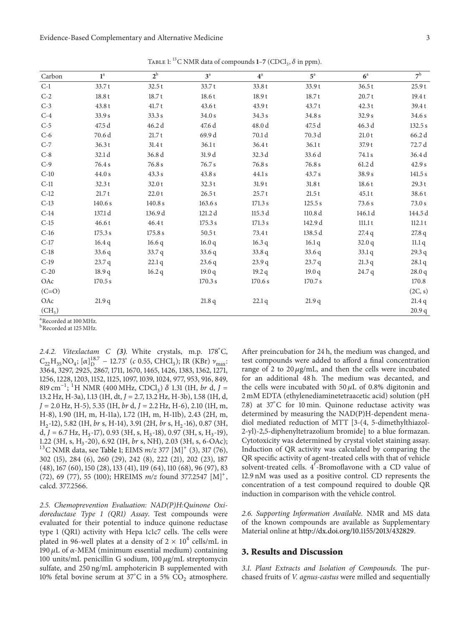Evidence-Based Complementary and Alternative Medicine 3

|                    | . .                |         |          |          |                    |         |                     |
|--------------------|--------------------|---------|----------|----------|--------------------|---------|---------------------|
| Carbon             | $1^a$              | $2^b$   | $3^a$    | $4^a$    | $5^{\mathrm{a}}$   | $6^a$   | 7 <sup>b</sup>      |
| $C-1$              | 33.7t              | 32.5t   | 33.7t    | 33.8 t   | 33.9t              | 36.5t   | 25.9t               |
| $C-2$              | 18.8t              | 18.7t   | 18.6t    | 18.9t    | 18.7t              | 20.7t   | 19.4t               |
| $C-3$              | 43.8t              | 41.7t   | 43.6t    | 43.9t    | 43.7t              | 42.3t   | 39.4t               |
| $C-4$              | 33.9 s             | 33.3 s  | 34.0 s   | 34.3 s   | 34.8 s             | 32.9 s  | $34.6\,\mathrm{s}$  |
| $C-5$              | 47.5 d             | 46.2 d  | 47.6 d   | 48.0 d   | 47.5 d             | 46.3 d  | 132.5 s             |
| $C-6$              | 70.6 d             | 21.7t   | 69.9 d   | 70.1 d   | 70.3 d             | 21.0t   | 66.2 d              |
| $C-7$              | 36.3t              | 31.4t   | 36.1t    | 36.4t    | 36.1t              | 37.9t   | 72.7 d              |
| $C-8$              | 32.1 d             | 36.8 d  | 31.9 d   | 32.3 d   | 33.6 d             | 74.1 s  | 36.4d               |
| $C-9$              | 76.4 s             | 76.8 s  | 76.7 s   | 76.8 s   | 76.8 s             | 61.2d   | $42.9\,\mathrm{s}$  |
| $C-10$             | $44.0\,\mathrm{s}$ | 43.3 s  | 43.8 s   | 44.1s    | 43.7 s             | 38.9 s  | $141.5\,\mathrm{s}$ |
| $C-11$             | 32.3t              | 32.0t   | 32.3t    | 31.9t    | 31.8t              | 18.6t   | 29.3 t              |
| $C-12$             | 21.7t              | 22.0t   | 26.5t    | 25.7t    | 21.5t              | 45.1t   | 38.6t               |
| $C-13$             | 140.6 s            | 140.8 s | 163.6 s  | 171.3 s  | 125.5 s            | 73.6 s  | 73.0 s              |
| $C-14$             | 137.1 d            | 136.9 d | 121.2 d  | 115.3 d  | 110.8 <sub>d</sub> | 146.1 d | 144.5 d             |
| $C-15$             | 46.6t              | 46.4t   | 175.3 s  | 171.3 s  | 142.9 d            | 111.1t  | 112.1t              |
| $C-16$             | 175.3 s            | 175.8 s | 50.5t    | 73.4 t   | 138.5 d            | 27.4q   | 27.8 q              |
| $C-17$             | 16.4q              | 16.6q   | 16.0q    | 16.3q    | 16.1q              | 32.0q   | 11.1q               |
| $C-18$             | 33.6q              | 33.7q   | 33.6q    | 33.8q    | 33.6q              | 33.1q   | 29.3 q              |
| $C-19$             | 23.7q              | 22.1q   | 23.6q    | 23.9q    | 23.7q              | 21.3q   | $28.1\,\mathrm{q}$  |
| $C-20$             | 18.9q              | 16.2q   | 19.0 $q$ | 19.2 $q$ | 19.0 $q$           | 24.7q   | 28.0 q              |
| OAc                | 170.5 s            |         | 170.3 s  | 170.6 s  | 170.7 s            |         | 170.8               |
| $(C=O)$            |                    |         |          |          |                    |         | (2C, s)             |
| OAc                | 21.9q              |         | 21.8q    | 22.1q    | 21.9q              |         | 21.4q               |
| (CH <sub>3</sub> ) |                    |         |          |          |                    |         | 20.9q               |

TABLE 1: <sup>13</sup>C NMR data of compounds 1–7 (CDCl<sub>3</sub>,  $\delta$  in ppm).

<sup>a</sup> Recorded at 100 MHz.

<sup>b</sup>Recorded at 125 MHz.

*2.4.2. Vitexlactam C (3).* White crystals, m.p. 178<sup>∘</sup> C,  $C_{22}H_{35}NO_4$ ; [ $\alpha$ ]<sup>18.7</sup> – 12.73° (*c* 0.55, CHCl<sub>3</sub>); IR (KBr)  $\nu_{max}$ : 3364, 3297, 2925, 2867, 1711, 1670, 1465, 1426, 1383, 1362, 1271, 1256, 1228, 1203, 1152, 1125, 1097, 1039, 1024, 977, 953, 916, 849, 819 cm−1; <sup>1</sup> H NMR (400 MHz, CDCl3) 1.31 (1H, *br* d, *J* = 13.2 Hz, H-3a), 1.13 (1H, dt, *J* = 2.7, 13.2 Hz, H-3b), 1.58 (1H, d, *J* = 2.0 Hz, H-5), 5.35 (1H, *br* d, *J* = 2.2 Hz, H-6), 2.10 (1H, m, H-8), 1.90 (1H, m, H-11a), 1.72 (1H, m, H-11b), 2.43 (2H, m, H<sub>2</sub>-12), 5.82 (1H, *br* s, H-14), 3.91 (2H, *br* s, H<sub>2</sub>-16), 0.87 (3H, d,  $J = 6.7$  Hz, H<sub>3</sub>-17), 0.93 (3H, s, H<sub>3</sub>-18), 0.97 (3H, s, H<sub>3</sub>-19), 1.22 (3H, s, H<sub>3</sub>-20), 6.92 (1H, *br* s, NH), 2.03 (3H, s, 6-OAc); <sup>13</sup>C NMR data, see Table 1; EIMS  $m/z$  377 [M]<sup>+</sup> (3), 317 (76), 302 (15), 284 (6), 260 (29), 242 (8), 222 (21), 202 (23), 187 (48), 167 (60), 150 (28), 133 (41), 119 (64), 110 (68), 96 (97), 83 (72), 69 (77), 55 (100); HREIMS *m/z* found 377.2547 [M]<sup>+</sup>, calcd. 377.2566.

*2.5. Chemoprevention Evaluation: NAD(P)H:Quinone Oxidoreductase Type 1 (QR1) Assay.* Test compounds were evaluated for their potential to induce quinone reductase type 1 (QR1) activity with Hepa 1c1c7 cells. The cells were plated in 96-well plates at a density of  $2 \times 10^4$  cells/mL in 190  $\mu$ L of  $\alpha$ -MEM (minimum essential medium) containing 100 units/mL penicillin G sodium,  $100 \mu g/mL$  streptomycin sulfate, and 250 ng/mL amphotericin B supplemented with 10% fetal bovine serum at 37<sup>∘</sup> C in a 5% CO<sup>2</sup> atmosphere.

After preincubation for 24 h, the medium was changed, and test compounds were added to afford a final concentration range of 2 to 20  $\mu$ g/mL, and then the cells were incubated for an additional 48 h. The medium was decanted, and the cells were incubated with 50  $\mu$ L of 0.8% digitonin and 2 mM EDTA (ethylenediaminetetraacetic acid) solution (pH 7.8) at 37<sup>∘</sup> C for 10 min. Quinone reductase activity was determined by measuring the NAD(P)H-dependent menadiol mediated reduction of MTT [3-(4, 5-dimethylthiazol-2-yl)-2,5-diphenyltetrazolium bromide] to a blue formazan. Cytotoxicity was determined by crystal violet staining assay. Induction of QR activity was calculated by comparing the QR specific activity of agent-treated cells with that of vehicle solvent-treated cells. 4 -Bromoflavone with a CD value of 12.9 nM was used as a positive control. CD represents the concentration of a test compound required to double QR induction in comparison with the vehicle control.

*2.6. Supporting Information Available.* NMR and MS data of the known compounds are available as Supplementary Material online at http://dx.doi.org/10.1155/2013/432829.

### **3. Results and Discussion**

*3.1. Plant Extracts and Isolation of Compounds.* The purchased fruits of *V. agnus-castus* were milled and sequentially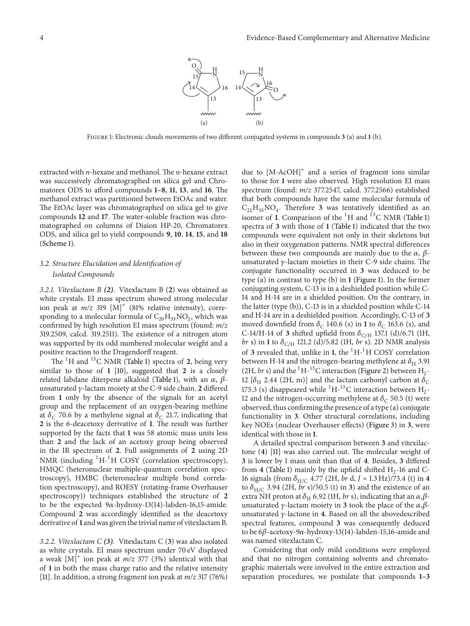

Figure 1: Electronic clouds movements of two different conjugated systems in compounds **3** (a) and **1** (b).

extracted with *n*-hexane and methanol. The *n*-hexane extract was successively chromatographed on silica gel and Chromatorex ODS to afford compounds **1–8**, **11**, **13**, and **16**. The methanol extract was partitioned between EtOAc and water. The EtOAc layer was chromatographed on silica gel to give compounds **12** and **17**. The water-soluble fraction was chromatographed on columns of Diaion HP-20, Chromatorex ODS, and silica gel to yield compounds **9**, **10**, **14**, **15**, and **18** (Scheme 1).

## *3.2. Structure Elucidation and Identification of Isolated Compounds*

*3.2.1. Vitexlactam B (2).* Vitexlactam B (**2**) was obtained as white crystals. EI mass spectrum showed strong molecular ion peak at  $m/z$  319 [M]<sup>+</sup> (81% relative intensity), corresponding to a molecular formula of  $C_{20}H_{33}NO_2$ , which was confirmed by high resolution EI mass spectrum (found: *m/z* 319.2509, calcd. 319.2511). The existence of a nitrogen atom was supported by its odd numbered molecular weight and a positive reaction to the Dragendorff reagent.

The <sup>1</sup>H and <sup>13</sup>C NMR (Table 1) spectra of 2, being very similar to those of **1** [10], suggested that **2** is a closely related labdane diterpene alkaloid (Table 1), with an  $\alpha$ ,  $\beta$ unsaturated  $\gamma$ -lactam moiety at the C-9 side chain. 2 differed from **1** only by the absence of the signals for an acetyl group and the replacement of an oxygen-bearing methine at  $\delta_C$  70.6 by a methylene signal at  $\delta_C$  21.7, indicating that **2** is the 6-deacetoxy derivative of **1**. The result was further supported by the facts that **1** was 58 atomic mass units less than **2** and the lack of an acetoxy group being observed in the IR spectrum of **2**. Full assignments of **2** using 2D NMR (including <sup>1</sup>H<sup>-1</sup>H COSY (correlation spectroscopy), HMQC (heteronuclear multiple-quantum correlation spectroscopy), HMBC (heteronuclear multiple bond correlation spectroscopy), and ROESY (rotating-frame Overhauser spectroscopy)) techniques established the structure of **2** to be the expected  $9\alpha$ -hydroxy-13(14)-labden-16,15-amide. Compound **2** was accordingly identified as the deacetoxy derivative of **1** and was given the trivial name of vitexlactam B.

*3.2.2. Vitexlactam C (3).* Vitexlactam C (**3**) was also isolated as white crystals. EI mass spectrum under 70 eV displayed a weak  $[M]^{+}$  ion peak at  $m/z$  377 (3%) identical with that of **1** in both the mass charge ratio and the relative intensity [11]. In addition, a strong fragment ion peak at *m/z* 317 (76%) due to  $[M-ACOH]$ <sup>+</sup> and a series of fragment ions similar to those for **1** were also observed. High resolution EI mass spectrum (found: *m/z* 377.2547, calcd. 377.2566) established that both compounds have the same molecular formula of  $C_{22}H_{35}NO_4$ . Therefore 3 was tentatively identified as an isomer of 1. Comparison of the <sup>1</sup>H and <sup>13</sup>C NMR (Table 1) spectra of **3** with those of **1** (Table 1) indicated that the two compounds were equivalent not only in their skeletons but also in their oxygenation patterns. NMR spectral differences between these two compounds are mainly due to the  $\alpha$ ,  $\beta$ unsaturated  $\gamma$ -lactam moieties in their C-9 side chains. The conjugate functionality occurred in **3** was deduced to be type (a) in contrast to type (b) in **1** (Figure 1). In the former conjugating system, C-13 is in a deshielded position while C-14 and H-14 are in a shielded position. On the contrary, in the latter (type (b)), C-13 is in a shielded position while C-14 and H-14 are in a deshielded position. Accordingly, C-13 of **3** moved downfield from  $\delta_C$  140.6 (s) in 1 to  $\delta_C$  163.6 (s), and C-14/H-14 of **3** shifted upfield from  $\delta_{\text{C/H}}$  137.1 (d)/6.71 (1H, *br* s) in 1 to  $\delta_{\text{C/H}}$  121.2 (d)/5.82 (1H, *br* s). 2D NMR analysis of 3 revealed that, unlike in 1, the <sup>1</sup>H<sup>-1</sup>H COSY correlation between H-14 and the nitrogen-bearing methylene at  $\delta_H$  3.91 (2H, *br* s) and the <sup>1</sup>H<sup>-13</sup>C interaction (Figure 2) between H<sub>2</sub>-12 [ $\delta$ <sub>H</sub> 2.44 (2H, m)] and the lactam carbonyl carbon at  $\delta$ <sub>C</sub> 175.3 (s) disappeared while  ${}^{1}H-{}^{13}C$  interaction between  $H_{2}$ -12 and the nitrogen-occurring methylene at  $\delta_C$  50.5 (t) were observed, thus confirming the presence of a type (a) conjugate functionality in **3**. Other structural correlations, including key NOEs (nuclear Overhauser effects) (Figure 3) in **3**, were identical with those in **1**.

A detailed spectral comparison between **3** and vitexilactone (**4**) [11] was also carried out. The molecular weight of **3** is lower by 1 mass unit than that of **4**. Besides, **3** differed from **4** (Table 1) mainly by the upfield shifted  $H_2$ -16 and C-16 signals (from  $\delta_{H/C}$  4.77 (2H, *br* d, *J* = 1.3 Hz)/73.4 (t) in 4 to  $\delta_{H/C}$  3.94 (2H, *br* s)/50.5 (t) in 3) and the existence of an extra NH proton at  $\delta_H$  6.92 (1H, *br* s), indicating that an  $\alpha, \beta$ unsaturated  $\gamma$ -lactam moiety in **3** took the place of the  $\alpha, \beta$ unsaturated  $\gamma$ -lactone in **4**. Based on all the abovedescribed spectral features, compound **3** was consequently deduced to be  $6\beta$ -acetoxy-9 $\alpha$ -hydroxy-13(14)-labden-15,16-amide and was named vitexlactam C.

Considering that only mild conditions were employed and that no nitrogen containing solvents and chromatographic materials were involved in the entire extraction and separation procedures, we postulate that compounds **1–3**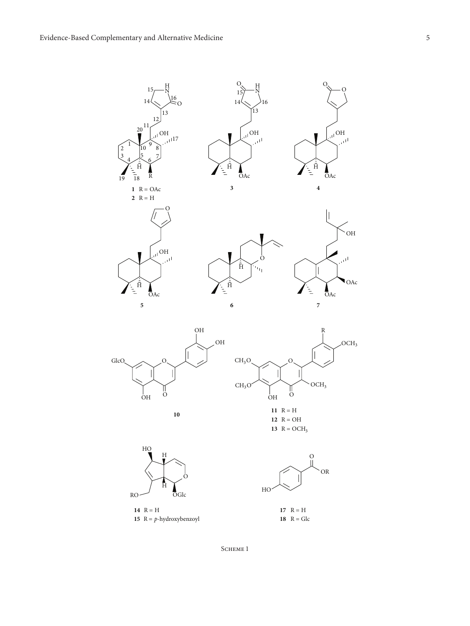2

15 14 13 16 12  $20^{11}$ 1  $\frac{3}{4}$ 5  $6\frac{7}{7}$  $\rm \tilde{1}0$  $19 \overline{18}$ OH  $\bar{H}$ R H N O  $\frac{1}{111}$  17  $R = OAc$ **2**  $R = H$ **3** OAc  $\frac{1}{\bar{H}}$  $\sqrt{\frac{1}{n}}$ OH  $O_{\mathcal{N}}$  H  $\rightarrow$   $\rightarrow$   $\rightarrow$  $14$ 13 16 OAc  $\begin{array}{c} \dfrac{1}{2} \\ \dfrac{1}{2} \end{array}$  $\mathbb{C}^{\mathsf{U}^{\mathsf{I}}}$ OH O **4**







 $\overline{O}$ 

OH

البر

OAc

H

12  $R = OH$ 13  $R = OCH_3$ 





17  $R = H$ 

15  $R = p$ -hydroxybenzoyl **18**  $R = Glc$ 

SCHEME<sub>1</sub>

O

OH

ان

OAc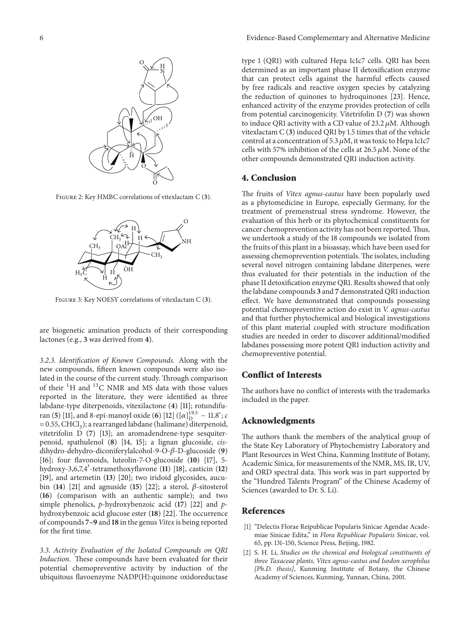

Figure 2: Key HMBC correlations of vitexlactam C (**3**).



Figure 3: Key NOESY correlations of vitexlactam C (**3**).

are biogenetic amination products of their corresponding lactones (e.g., **3** was derived from **4**).

*3.2.3. Identification of Known Compounds.* Along with the new compounds, fifteen known compounds were also isolated in the course of the current study. Through comparison of their  ${}^{1}H$  and  ${}^{13}C$  NMR and MS data with those values reported in the literature, they were identified as three labdane-type diterpenoids, vitexilactone (**4**) [11]; rotundifuran (**5**) [11], and 8-epi-manoyl oxide (**6**) [12] ( $[\alpha]_D^{19.5}$  – 11.8°; *c*  $= 0.55$ , CHCl<sub>3</sub>); a rearranged labdane (halimane) diterpenoid, vitetrifolin D (**7**) [13]; an aromadendrene-type sesquiterpenoid, spathulenol (**8**) [14, 15]; a lignan glucoside, *cis*dihydro-dehydro-diconiferylalcohol-9-O-β-D-glucoside (9) [16]; four flavonoids, luteolin-7-O-glucoside (**10**) [17], 5 hydroxy-3,6,7,4 -tetramethoxyflavone (**11**) [18], casticin (**12**) [19], and artemetin (**13**) [20]; two iridoid glycosides, aucubin (14) [21] and agnuside (15) [22]; a sterol,  $\beta$ -sitosterol (**16**) (comparison with an authentic sample); and two simple phenolics, *p*-hydroxybenzoic acid (**17**) [22] and *p*hydroxybenzoic acid glucose ester (**18**) [22]. The occurrence of compounds **7–9** and **18** in the genus *Vitex* is being reported for the first time.

*3.3. Activity Evaluation of the Isolated Compounds on QR1 Induction.* These compounds have been evaluated for their potential chemopreventive activity by induction of the ubiquitous flavoenzyme NADP(H):quinone oxidoreductase

type 1 (QR1) with cultured Hepa 1c1c7 cells. QR1 has been determined as an important phase II detoxification enzyme that can protect cells against the harmful effects caused by free radicals and reactive oxygen species by catalyzing the reduction of quinones to hydroquinones [23]. Hence, enhanced activity of the enzyme provides protection of cells from potential carcinogenicity. Vitetrifolin D (**7**) was shown to induce QR1 activity with a CD value of  $23.2 \mu M$ . Although vitexlactam C (**3**) induced QR1 by 1.5 times that of the vehicle control at a concentration of 5.3  $\mu$ M, it was toxic to Hepa 1c1c7 cells with 57% inhibition of the cells at 26.5  $\mu$ M. None of the other compounds demonstrated QR1 induction activity.

## **4. Conclusion**

The fruits of *Vitex agnus-castus* have been popularly used as a phytomedicine in Europe, especially Germany, for the treatment of premenstrual stress syndrome. However, the evaluation of this herb or its phytochemical constituents for cancer chemoprevention activity has not been reported.Thus, we undertook a study of the 18 compounds we isolated from the fruits of this plant in a bioassay, which have been used for assessing chemoprevention potentials.The isolates, including several novel nitrogen containing labdane diterpenes, were thus evaluated for their potentials in the induction of the phase II detoxification enzyme QR1. Results showed that only the labdane compounds **3** and **7** demonstrated QR1 induction effect. We have demonstrated that compounds possessing potential chemopreventive action do exist in *V. agnus-castus* and that further phytochemical and biological investigations of this plant material coupled with structure modification studies are needed in order to discover additional/modified labdanes possessing more potent QR1 induction activity and chemopreventive potential.

## **Conflict of Interests**

The authors have no conflict of interests with the trademarks included in the paper.

#### **Acknowledgments**

The authors thank the members of the analytical group of the State Key Laboratory of Phytochemistry Laboratory and Plant Resources in West China, Kunming Institute of Botany, Academic Sinica, for measurements of the NMR, MS, IR, UV, and ORD spectral data. This work was in part supported by the "Hundred Talents Program" of the Chinese Academy of Sciences (awarded to Dr. S. Li).

#### **References**

- [1] "Delectis Florae Reipublicae Popularis Sinicae Agendae Academiae Sinicae Edita," in *Flora Republicae Popularis Sinicae*, vol. 65, pp. 131–150, Science Press, Beijing, 1982.
- [2] S. H. Li, *Studies on the chemical and biological constituents of three Taxaceae plants, Vitex agnus-castus and Isodon xerophilus [Ph.D. thesis]*, Kunming Institute of Botany, the Chinese Academy of Sciences, Kunming, Yunnan, China, 2001.